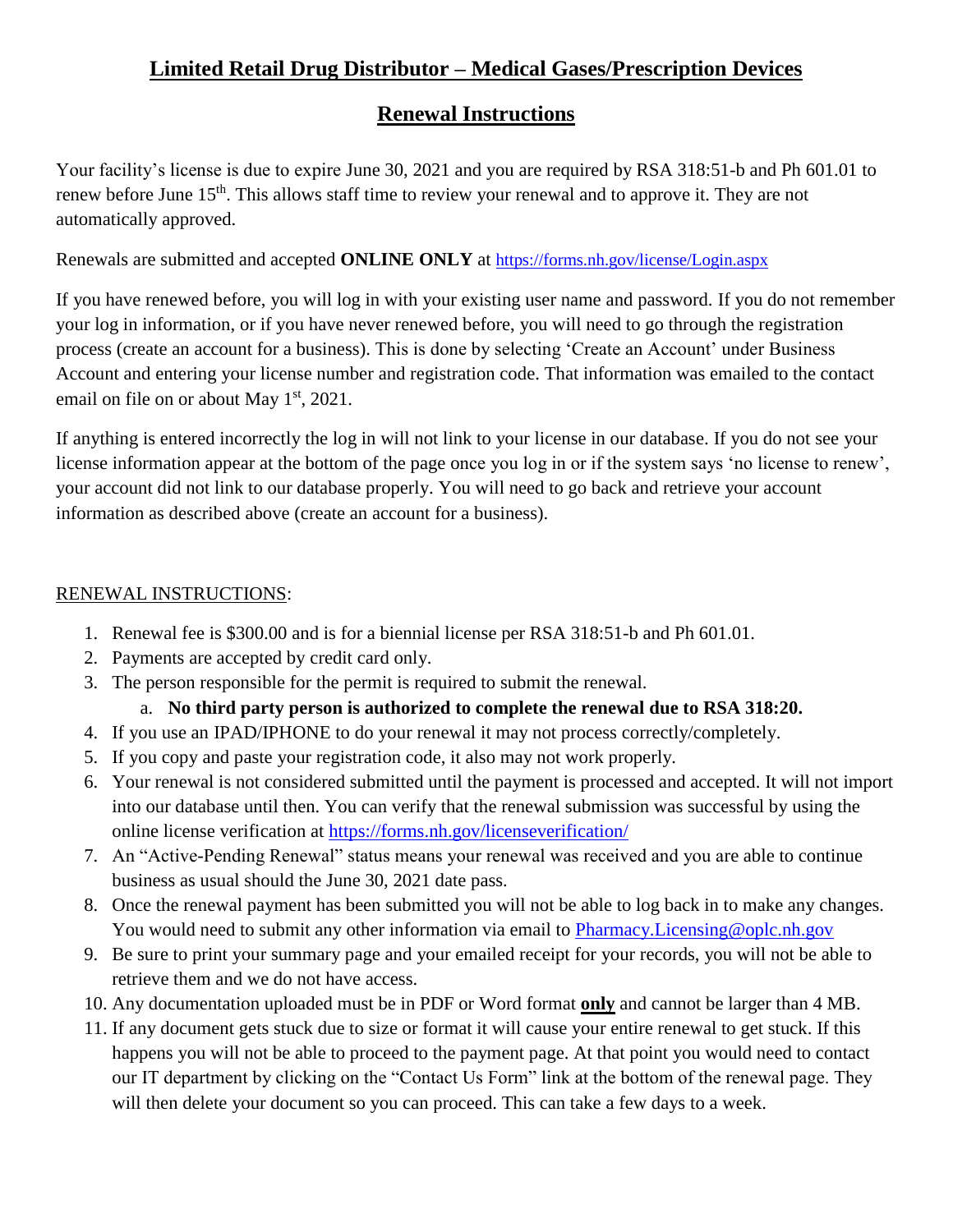# **Limited Retail Drug Distributor – Medical Gases/Prescription Devices**

## **Renewal Instructions**

Your facility's license is due to expire June 30, 2021 and you are required by RSA 318:51-b and Ph 601.01 to renew before June 15<sup>th</sup>. This allows staff time to review your renewal and to approve it. They are not automatically approved.

Renewals are submitted and accepted **ONLINE ONLY** at <https://forms.nh.gov/license/Login.aspx>

If you have renewed before, you will log in with your existing user name and password. If you do not remember your log in information, or if you have never renewed before, you will need to go through the registration process (create an account for a business). This is done by selecting 'Create an Account' under Business Account and entering your license number and registration code. That information was emailed to the contact email on file on or about May  $1<sup>st</sup>$ , 2021.

If anything is entered incorrectly the log in will not link to your license in our database. If you do not see your license information appear at the bottom of the page once you log in or if the system says 'no license to renew', your account did not link to our database properly. You will need to go back and retrieve your account information as described above (create an account for a business).

### RENEWAL INSTRUCTIONS:

- 1. Renewal fee is \$300.00 and is for a biennial license per RSA 318:51-b and Ph 601.01.
- 2. Payments are accepted by credit card only.
- 3. The person responsible for the permit is required to submit the renewal.

### a. **No third party person is authorized to complete the renewal due to RSA 318:20.**

- 4. If you use an IPAD/IPHONE to do your renewal it may not process correctly/completely.
- 5. If you copy and paste your registration code, it also may not work properly.
- 6. Your renewal is not considered submitted until the payment is processed and accepted. It will not import into our database until then. You can verify that the renewal submission was successful by using the online license verification at<https://forms.nh.gov/licenseverification/>
- 7. An "Active-Pending Renewal" status means your renewal was received and you are able to continue business as usual should the June 30, 2021 date pass.
- 8. Once the renewal payment has been submitted you will not be able to log back in to make any changes. You would need to submit any other information via email to Pharmacy. Licensing @oplc.nh.gov
- 9. Be sure to print your summary page and your emailed receipt for your records, you will not be able to retrieve them and we do not have access.
- 10. Any documentation uploaded must be in PDF or Word format **only** and cannot be larger than 4 MB.
- 11. If any document gets stuck due to size or format it will cause your entire renewal to get stuck. If this happens you will not be able to proceed to the payment page. At that point you would need to contact our IT department by clicking on the "Contact Us Form" link at the bottom of the renewal page. They will then delete your document so you can proceed. This can take a few days to a week.